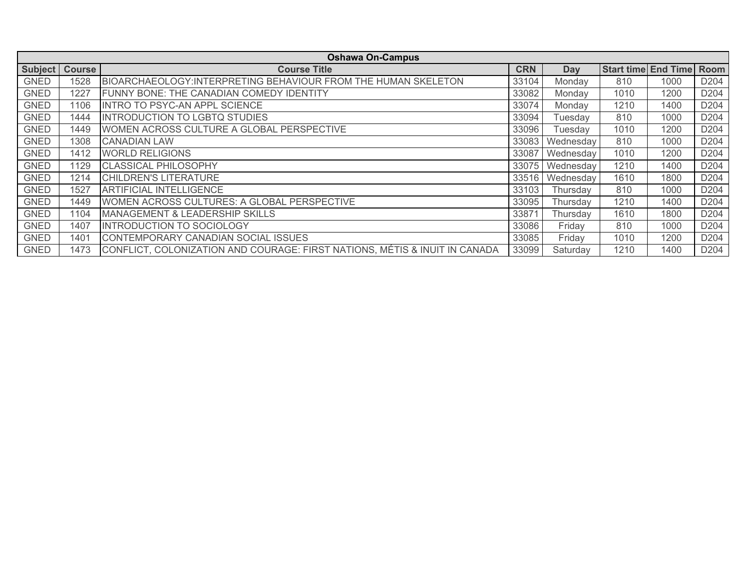| <b>Oshawa On-Campus</b> |               |                                                                            |            |            |      |                            |                  |  |  |
|-------------------------|---------------|----------------------------------------------------------------------------|------------|------------|------|----------------------------|------------------|--|--|
| <b>Subject</b>          | <b>Course</b> | <b>Course Title</b>                                                        | <b>CRN</b> | <b>Day</b> |      | <b>Start time End Time</b> | Room             |  |  |
| <b>GNED</b>             | 1528          | BIOARCHAEOLOGY: INTERPRETING BEHAVIOUR FROM THE HUMAN SKELETON             | 33104      | Monday     | 810  | 1000                       | D <sub>204</sub> |  |  |
| <b>GNED</b>             | 1227          | FUNNY BONE: THE CANADIAN COMEDY IDENTITY                                   | 33082      | Monday     | 1010 | 1200                       | D <sub>204</sub> |  |  |
| <b>GNED</b>             | 1106          | <b>INTRO TO PSYC-AN APPL SCIENCE</b>                                       | 33074      | Monday     | 1210 | 1400                       | D <sub>204</sub> |  |  |
| <b>GNED</b>             | 1444          | <b>INTRODUCTION TO LGBTQ STUDIES</b>                                       | 33094      | Tuesday    | 810  | 1000                       | D <sub>204</sub> |  |  |
| <b>GNED</b>             | 1449          | WOMEN ACROSS CULTURE A GLOBAL PERSPECTIVE                                  | 33096      | Tuesday    | 1010 | 1200                       | D <sub>204</sub> |  |  |
| <b>GNED</b>             | 1308          | <b>CANADIAN LAW</b>                                                        | 33083      | Wednesday  | 810  | 1000                       | D <sub>204</sub> |  |  |
| <b>GNED</b>             | 1412          | <b>WORLD RELIGIONS</b>                                                     | 33087      | Wednesday  | 1010 | 1200                       | D <sub>204</sub> |  |  |
| <b>GNED</b>             | 1129          | <b>CLASSICAL PHILOSOPHY</b>                                                | 33075      | Wednesday  | 1210 | 1400                       | D <sub>204</sub> |  |  |
| <b>GNED</b>             | 1214          | <b>CHILDREN'S LITERATURE</b>                                               | 33516      | Wednesday  | 1610 | 1800                       | D <sub>204</sub> |  |  |
| <b>GNED</b>             | 1527          | <b>ARTIFICIAL INTELLIGENCE</b>                                             | 33103      | Thursday   | 810  | 1000                       | D <sub>204</sub> |  |  |
| <b>GNED</b>             | 1449          | WOMEN ACROSS CULTURES: A GLOBAL PERSPECTIVE                                | 33095      | Thursday   | 1210 | 1400                       | D <sub>204</sub> |  |  |
| <b>GNED</b>             | 1104          | <b>MANAGEMENT &amp; LEADERSHIP SKILLS</b>                                  | 33871      | Thursday   | 1610 | 1800                       | D <sub>204</sub> |  |  |
| <b>GNED</b>             | 1407          | <b>INTRODUCTION TO SOCIOLOGY</b>                                           | 33086      | Friday     | 810  | 1000                       | D <sub>204</sub> |  |  |
| <b>GNED</b>             | 1401          | CONTEMPORARY CANADIAN SOCIAL ISSUES                                        | 33085      | Friday     | 1010 | 1200                       | D <sub>204</sub> |  |  |
| <b>GNED</b>             | 1473          | CONFLICT, COLONIZATION AND COURAGE: FIRST NATIONS, MÉTIS & INUIT IN CANADA | 33099      | Saturday   | 1210 | 1400                       | D <sub>204</sub> |  |  |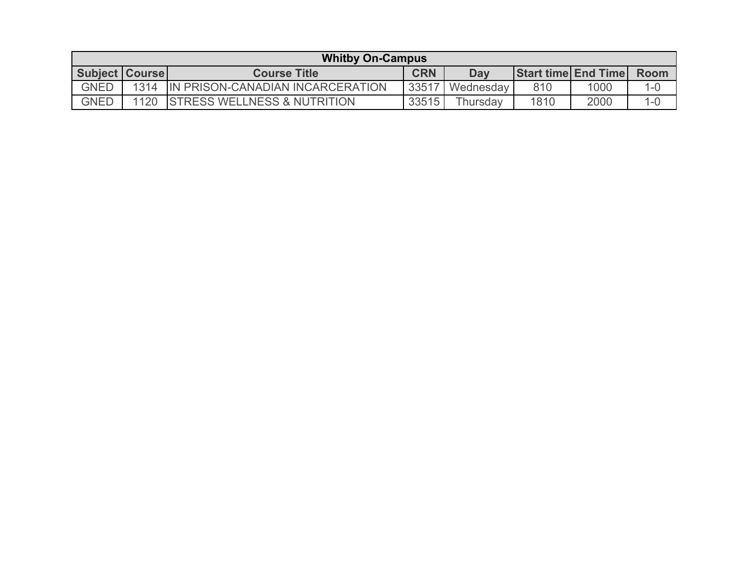| <b>Whitby On-Campus</b> |      |                                        |            |           |      |                            |         |  |
|-------------------------|------|----------------------------------------|------------|-----------|------|----------------------------|---------|--|
| <b>Subject Coursel</b>  |      | <b>Course Title</b>                    | <b>CRN</b> | Day       |      | <b>Start time End Time</b> | Room    |  |
| <b>GNED</b>             | 1314 | IN PRISON-CANADIAN INCARCERATION       | 33517      | Wednesday | 810  | 1000                       | $1 - 0$ |  |
| <b>GNED</b>             | 1120 | <b>STRESS WELLNESS &amp; NUTRITION</b> | 33515      | Thursdav  | 1810 | 2000                       | $1 - 0$ |  |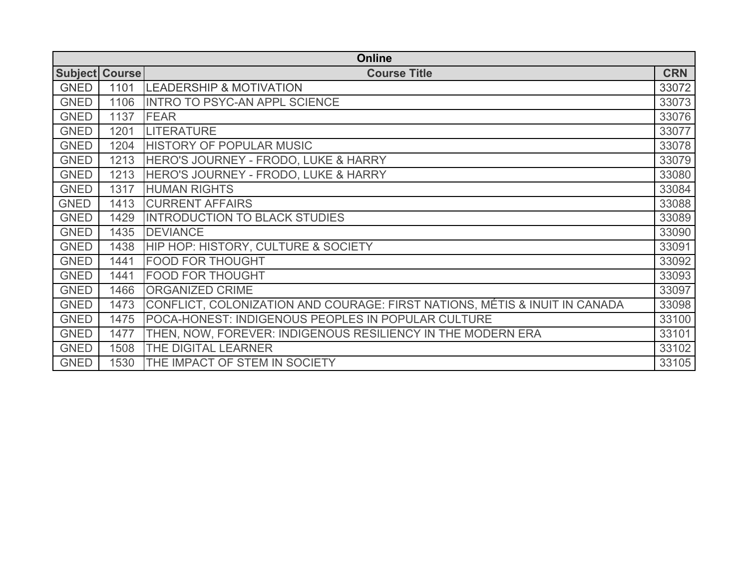| <b>Online</b> |                       |                                                                            |            |  |  |  |
|---------------|-----------------------|----------------------------------------------------------------------------|------------|--|--|--|
|               | <b>Subject Course</b> | <b>Course Title</b>                                                        | <b>CRN</b> |  |  |  |
| <b>GNED</b>   | 1101                  | <b>LEADERSHIP &amp; MOTIVATION</b>                                         | 33072      |  |  |  |
| <b>GNED</b>   | 1106                  | <b>INTRO TO PSYC-AN APPL SCIENCE</b>                                       | 33073      |  |  |  |
| <b>GNED</b>   | 1137                  | <b>FEAR</b>                                                                | 33076      |  |  |  |
| <b>GNED</b>   | 1201                  | <b>LITERATURE</b>                                                          | 33077      |  |  |  |
| <b>GNED</b>   | 1204                  | <b>HISTORY OF POPULAR MUSIC</b>                                            | 33078      |  |  |  |
| <b>GNED</b>   | 1213                  | HERO'S JOURNEY - FRODO, LUKE & HARRY                                       | 33079      |  |  |  |
| <b>GNED</b>   | 1213                  | HERO'S JOURNEY - FRODO, LUKE & HARRY                                       | 33080      |  |  |  |
| <b>GNED</b>   | 1317                  | <b>HUMAN RIGHTS</b>                                                        | 33084      |  |  |  |
| <b>GNED</b>   | 1413                  | <b>CURRENT AFFAIRS</b>                                                     | 33088      |  |  |  |
| <b>GNED</b>   | 1429                  | <b>INTRODUCTION TO BLACK STUDIES</b>                                       | 33089      |  |  |  |
| <b>GNED</b>   | 1435                  | <b>DEVIANCE</b>                                                            | 33090      |  |  |  |
| <b>GNED</b>   | 1438                  | HIP HOP: HISTORY, CULTURE & SOCIETY                                        | 33091      |  |  |  |
| <b>GNED</b>   | 1441                  | <b>FOOD FOR THOUGHT</b>                                                    | 33092      |  |  |  |
| <b>GNED</b>   | 1441                  | <b>FOOD FOR THOUGHT</b>                                                    | 33093      |  |  |  |
| <b>GNED</b>   | 1466                  | <b>ORGANIZED CRIME</b>                                                     | 33097      |  |  |  |
| <b>GNED</b>   | 1473                  | CONFLICT, COLONIZATION AND COURAGE: FIRST NATIONS, MÉTIS & INUIT IN CANADA | 33098      |  |  |  |
| <b>GNED</b>   | 1475                  | POCA-HONEST: INDIGENOUS PEOPLES IN POPULAR CULTURE                         | 33100      |  |  |  |
| <b>GNED</b>   | 1477                  | THEN, NOW, FOREVER: INDIGENOUS RESILIENCY IN THE MODERN ERA                | 33101      |  |  |  |
| <b>GNED</b>   | 1508                  | THE DIGITAL LEARNER                                                        | 33102      |  |  |  |
| <b>GNED</b>   | 1530                  | THE IMPACT OF STEM IN SOCIETY                                              | 33105      |  |  |  |